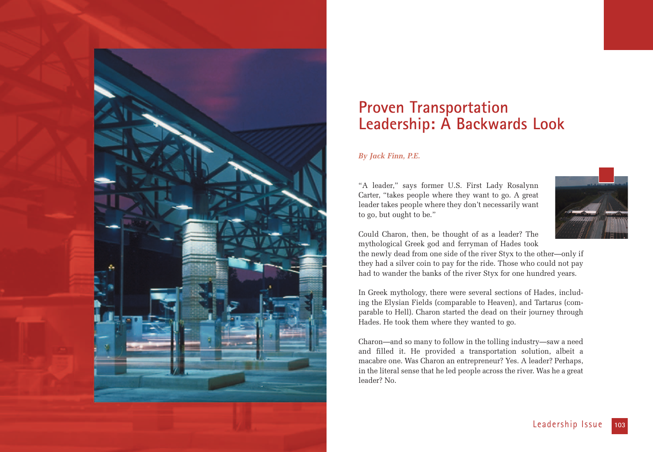

# **Proven Transportation Leadership: A Backwards Look**

## *By Jack Finn, P.E.*

"A leader," says former U.S. First Lady Rosalynn Carter, "takes people where they want to go. A great leader takes people where they don't necessarily want to go, but ought to be."



Could Charon, then, be thought of as a leader? The mythological Greek god and ferryman of Hades took

the newly dead from one side of the river Styx to the other—only if they had a silver coin to pay for the ride. Those who could not pay had to wander the banks of the river Styx for one hundred years.

In Greek mythology, there were several sections of Hades, including the Elysian Fields (comparable to Heaven), and Tartarus (comparable to Hell). Charon started the dead on their journey through Hades. He took them where they wanted to go.

Charon—and so many to follow in the tolling industry—saw a need and filled it. He provided a transportation solution, albeit a macabre one. Was Charon an entrepreneur? Yes. A leader? Perhaps, in the literal sense that he led people across the river. Was he a great leader? No.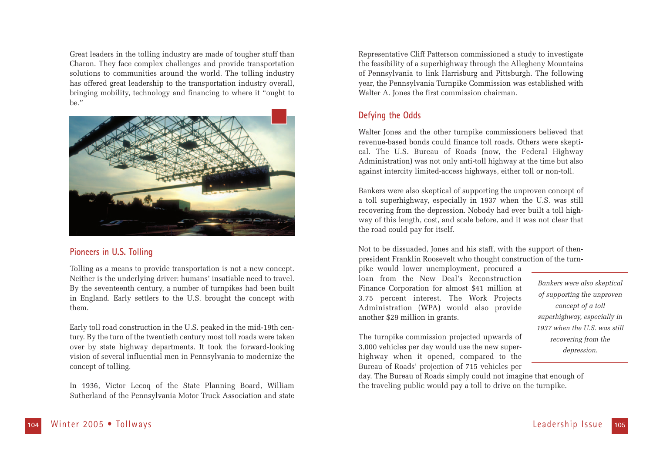Great leaders in the tolling industry are made of tougher stuff than Charon. They face complex challenges and provide transportation solutions to communities around the world. The tolling industry has offered great leadership to the transportation industry overall, bringing mobility, technology and financing to where it "ought to be."



## **Pioneers in U.S. Tolling**

Tolling as a means to provide transportation is not a new concept. Neither is the underlying driver: humans' insatiable need to travel. By the seventeenth century, a number of turnpikes had been built in England. Early settlers to the U.S. brought the concept with them.

Early toll road construction in the U.S. peaked in the mid-19th century. By the turn of the twentieth century most toll roads were taken over by state highway departments. It took the forward-looking vision of several influential men in Pennsylvania to modernize the concept of tolling.

In 1936, Victor Lecoq of the State Planning Board, William Sutherland of the Pennsylvania Motor Truck Association and state

Representative Cliff Patterson commissioned a study to investigate the feasibility of a superhighway through the Allegheny Mountains of Pennsylvania to link Harrisburg and Pittsburgh. The following year, the Pennsylvania Turnpike Commission was established with Walter A. Jones the first commission chairman.

# **Defying the Odds**

Walter Jones and the other turnpike commissioners believed that revenue-based bonds could finance toll roads. Others were skeptical. The U.S. Bureau of Roads (now, the Federal Highway Administration) was not only anti-toll highway at the time but also against intercity limited-access highways, either toll or non-toll.

Bankers were also skeptical of supporting the unproven concept of a toll superhighway, especially in 1937 when the U.S. was still recovering from the depression. Nobody had ever built a toll highway of this length, cost, and scale before, and it was not clear that the road could pay for itself.

Not to be dissuaded, Jones and his staff, with the support of thenpresident Franklin Roosevelt who thought construction of the turn-

pike would lower unemployment, procured a loan from the New Deal's Reconstruction Finance Corporation for almost \$41 million at 3.75 percent interest. The Work Projects Administration (WPA) would also provide another \$29 million in grants.

*Bankers were also skeptical of supporting the unproven concept of a toll superhighway, especially in 1937 when the U.S. was still recovering from the depression.* 

The turnpike commission projected upwards of 3,000 vehicles per day would use the new superhighway when it opened, compared to the Bureau of Roads' projection of 715 vehicles per

day. The Bureau of Roads simply could not imagine that enough of the traveling public would pay a toll to drive on the turnpike.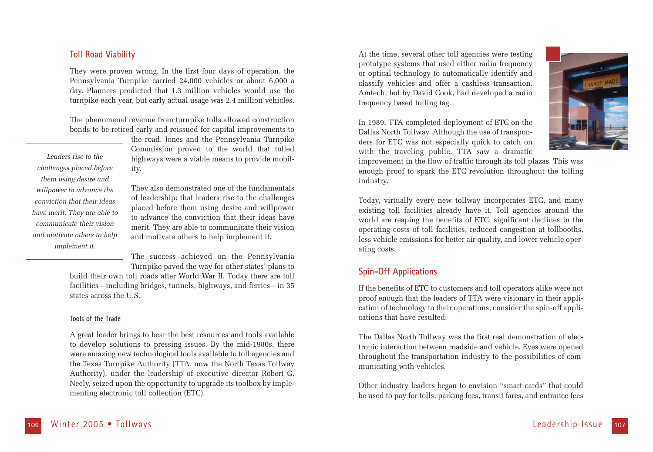## **Toll Road Viability**

They were proven wrong. In the first four days of operation, the Pennsylvania Turnpike carried 24,000 vehicles or about 6,000 a day. Planners predicted that 1.3 million vehicles would use the turnpike each year, but early actual usage was 2.4 million vehicles.

The phenomenal revenue from turnpike tolls allowed construction bonds to be retired early and reissued for capital improvements to

*Leaders rise to the challenges placed before them using desire and willpower to advance the conviction that their ideas have merit. They are able to communicate their vision and motivate others to help implement it.*

the road. Jones and the Pennsylvania Turnpike Commission proved to the world that tolled highways were a viable means to provide mobility.

They also demonstrated one of the fundamentals of leadership: that leaders rise to the challenges placed before them using desire and willpower to advance the conviction that their ideas have merit. They are able to communicate their vision and motivate others to help implement it.

The success achieved on the Pennsylvania Turnpike paved the way for other states' plans to

build their own toll roads after World War II. Today there are toll facilities—including bridges, tunnels, highways, and ferries—in 35 states across the U.S.

#### **Tools of the Trade**

A great leader brings to bear the best resources and tools available to develop solutions to pressing issues. By the mid-1980s, there were amazing new technological tools available to toll agencies and the Texas Turnpike Authority (TTA, now the North Texas Tollway Authority), under the leadership of executive director Robert G. Neely, seized upon the opportunity to upgrade its toolbox by implementing electronic toll collection (ETC).

At the time, several other toll agencies were testing prototype systems that used either radio frequency or optical technology to automatically identify and classify vehicles and offer a cashless transaction. Amtech, led by David Cook, had developed a radio frequency based tolling tag.

In 1989, TTA completed deployment of ETC on the Dallas North Tollway. Although the use of transponders for ETC was not especially quick to catch on with the traveling public, TTA saw a dramatic



improvement in the flow of traffic through its toll plazas. This was enough proof to spark the ETC revolution throughout the tolling industry.

Today, virtually every new tollway incorporates ETC, and many existing toll facilities already have it. Toll agencies around the world are reaping the benefits of ETC: significant declines in the operating costs of toll facilities, reduced congestion at tollbooths, less vehicle emissions for better air quality, and lower vehicle operating costs.

## **Spin-Off Applications**

If the benefits of ETC to customers and toll operators alike were not proof enough that the leaders of TTA were visionary in their application of technology to their operations, consider the spin-off applications that have resulted.

The Dallas North Tollway was the first real demonstration of electronic interaction between roadside and vehicle. Eyes were opened throughout the transportation industry to the possibilities of communicating with vehicles.

Other industry leaders began to envision "smart cards" that could be used to pay for tolls, parking fees, transit fares, and entrance fees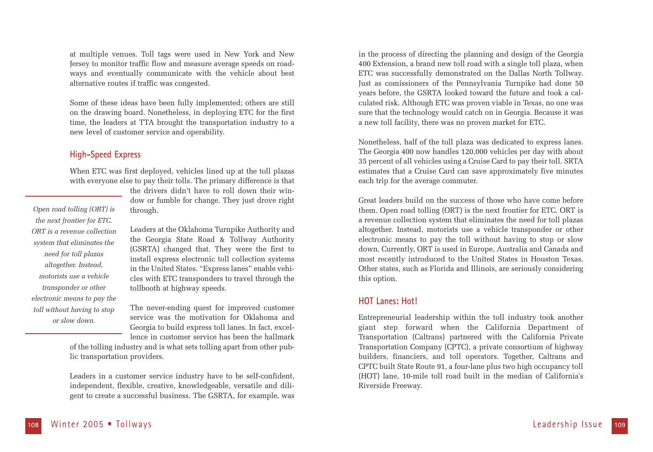at multiple venues. Toll tags were used in New York and New Jersey to monitor traffic flow and measure average speeds on roadways and eventually communicate with the vehicle about best alternative routes if traffic was congested.

Some of these ideas have been fully implemented; others are still on the drawing board. Nonetheless, in deploying ETC for the first time, the leaders at TTA brought the transportation industry to a new level of customer service and operability.

## **High-Speed Express**

When ETC was first deployed, vehicles lined up at the toll plazas with everyone else to pay their tolls. The primary difference is that

*Open road tolling (ORT) is the next frontier for ETC. ORT is a revenue collection system that eliminates the need for toll plazas altogether. Instead, motorists use a vehicle transponder or other electronic means to pay the toll without having to stop or slow down.* 

the drivers didn't have to roll down their window or fumble for change. They just drove right through.

Leaders at the Oklahoma Turnpike Authority and the Georgia State Road & Tollway Authority (GSRTA) changed that. They were the first to install express electronic toll collection systems in the United States. "Express lanes" enable vehicles with ETC transponders to travel through the tollbooth at highway speeds.

The never-ending quest for improved customer service was the motivation for Oklahoma and Georgia to build express toll lanes. In fact, excellence in customer service has been the hallmark

of the tolling industry and is what sets tolling apart from other public transportation providers.

Leaders in a customer service industry have to be self-confident, independent, flexible, creative, knowledgeable, versatile and diligent to create a successful business. The GSRTA, for example, was

in the process of directing the planning and design of the Georgia 400 Extension, a brand new toll road with a single toll plaza, when ETC was successfully demonstrated on the Dallas North Tollway. Just as comissioners of the Pennsylvania Turnpike had done 50 years before, the GSRTA looked toward the future and took a calculated risk. Although ETC was proven viable in Texas, no one was sure that the technology would catch on in Georgia. Because it was a new toll facility, there was no proven market for ETC.

Nonetheless, half of the toll plaza was dedicated to express lanes. The Georgia 400 now handles 120,000 vehicles per day with about 35 percent of all vehicles using a Cruise Card to pay their toll. SRTA estimates that a Cruise Card can save approximately five minutes each trip for the average commuter.

Great leaders build on the success of those who have come before them. Open road tolling (ORT) is the next frontier for ETC. ORT is a revenue collection system that eliminates the need for toll plazas altogether. Instead, motorists use a vehicle transponder or other electronic means to pay the toll without having to stop or slow down. Currently, ORT is used in Europe, Australia and Canada and most recently introduced to the United States in Houston Texas. Other states, such as Florida and Illinois, are seriously considering this option.

### **HOT Lanes: Hot!**

Entrepreneurial leadership within the toll industry took another giant step forward when the California Department of Transportation (Caltrans) partnered with the California Private Transportation Company (CPTC), a private consortium of highway builders, financiers, and toll operators. Together, Caltrans and CPTC built State Route 91, a four-lane plus two high occupancy toll (HOT) lane, 10-mile toll road built in the median of California's Riverside Freeway.